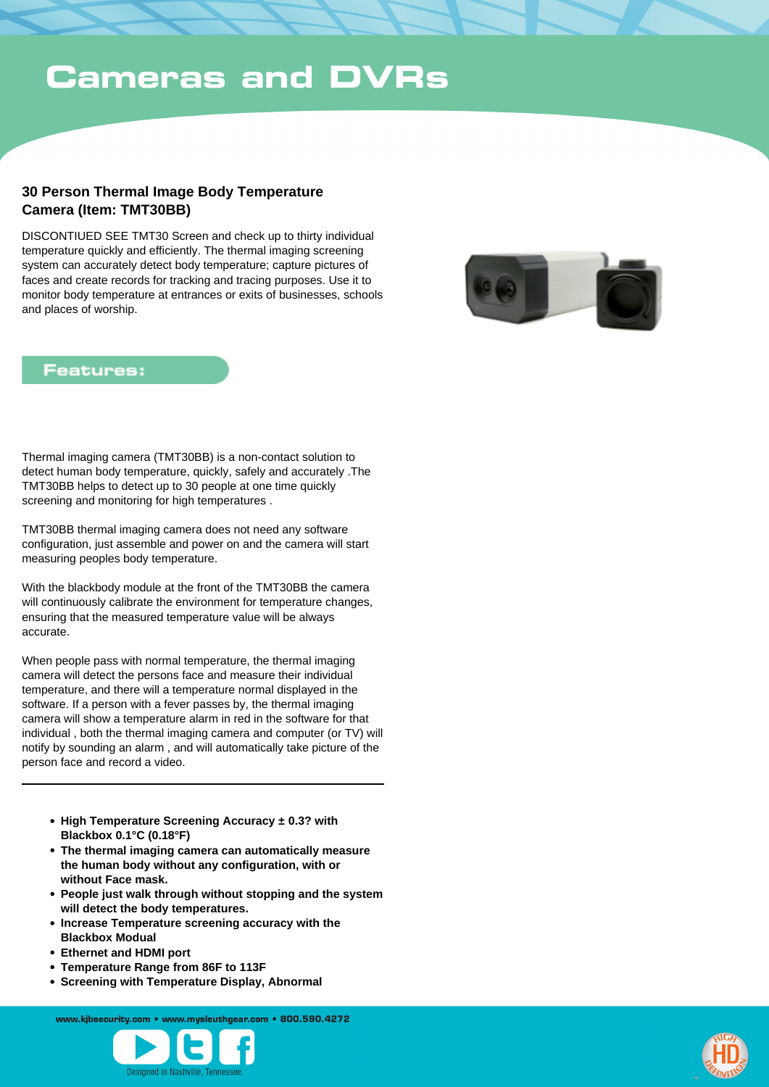## **30 Person Thermal Image Body Temperature Camera (Item: TMT30BB)**

DISCONTIUED SEE TMT30 Screen and check up to thirty individual temperature quickly and efficiently. The thermal imaging screening system can accurately detect body temperature; capture pictures of faces and create records for tracking and tracing purposes. Use it to monitor body temperature at entrances or exits of businesses, schools and places of worship.



#### **Features:**

Thermal imaging camera (TMT30BB) is a non-contact solution to detect human body temperature, quickly, safely and accurately .The TMT30BB helps to detect up to 30 people at one time quickly screening and monitoring for high temperatures .

TMT30BB thermal imaging camera does not need any software configuration, just assemble and power on and the camera will start measuring peoples body temperature.

With the blackbody module at the front of the TMT30BB the camera will continuously calibrate the environment for temperature changes, ensuring that the measured temperature value will be always accurate.

When people pass with normal temperature, the thermal imaging camera will detect the persons face and measure their individual temperature, and there will a temperature normal displayed in the software. If a person with a fever passes by, the thermal imaging camera will show a temperature alarm in red in the software for that individual , both the thermal imaging camera and computer (or TV) will notify by sounding an alarm , and will automatically take picture of the person face and record a video.

- **High Temperature Screening Accuracy ± 0.3? with Blackbox 0.1°C (0.18°F)**
- **The thermal imaging camera can automatically measure the human body without any configuration, with or without Face mask.**
- **People just walk through without stopping and the system will detect the body temperatures.**
- **Increase Temperature screening accuracy with the Blackbox Modual**
- **Ethernet and HDMI port**
- **Temperature Range from 86F to 113F**
- **Screening with Temperature Display, Abnormal**

www.kibsecurity.com • www.mysleuthgear.com • 800.590.4272



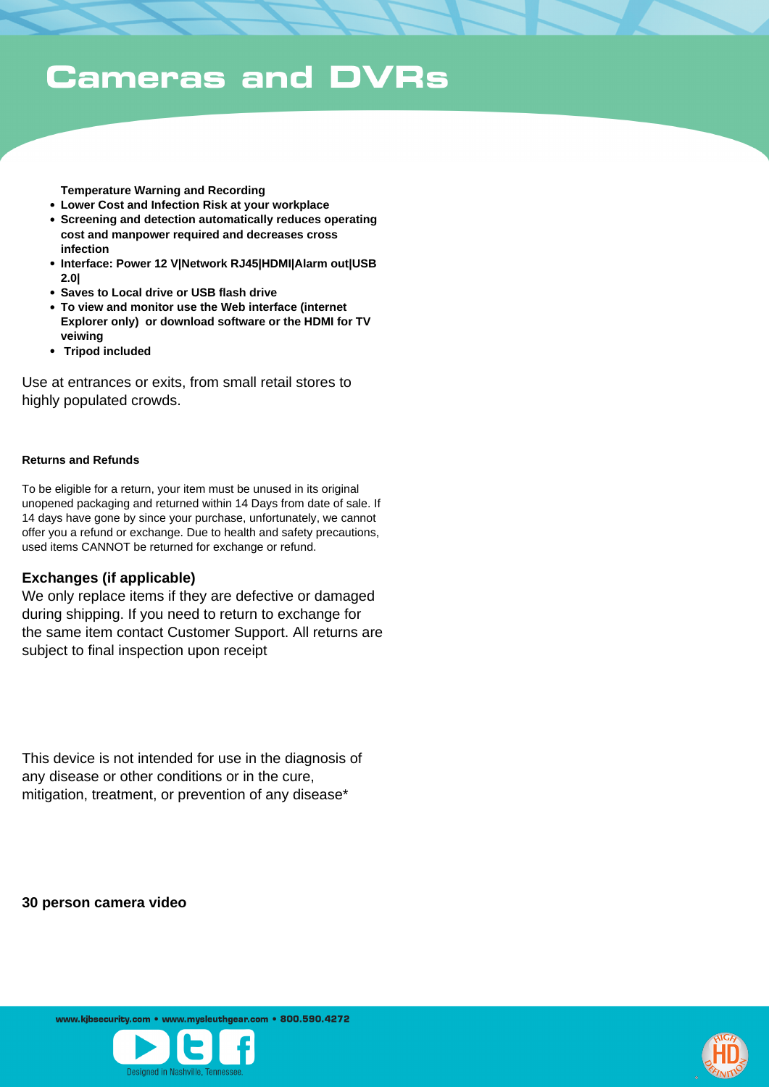**Temperature Warning and Recording**

- **Lower Cost and Infection Risk at your workplace**
- **Screening and detection automatically reduces operating cost and manpower required and decreases cross infection**
- **Interface: Power 12 V|Network RJ45|HDMI|Alarm out|USB 2.0|**
- **Saves to Local drive or USB flash drive**
- **To view and monitor use the Web interface (internet Explorer only) or download software or the HDMI for TV veiwing**
- **•** Tripod included

Use at entrances or exits, from small retail stores to highly populated crowds.

#### **Returns and Refunds**

To be eligible for a return, your item must be unused in its original unopened packaging and returned within 14 Days from date of sale. If 14 days have gone by since your purchase, unfortunately, we cannot offer you a refund or exchange. Due to health and safety precautions, used items CANNOT be returned for exchange or refund.

#### **Exchanges (if applicable)**

We only replace items if they are defective or damaged during shipping. If you need to return to exchange for the same item contact Customer Support. All returns are subject to final inspection upon receipt

This device is not intended for use in the diagnosis of any disease or other conditions or in the cure, mitigation, treatment, or prevention of any disease\*

**30 person camera video**

www.kibsecurity.com • www.mysleuthgear.com • 800.590.4272



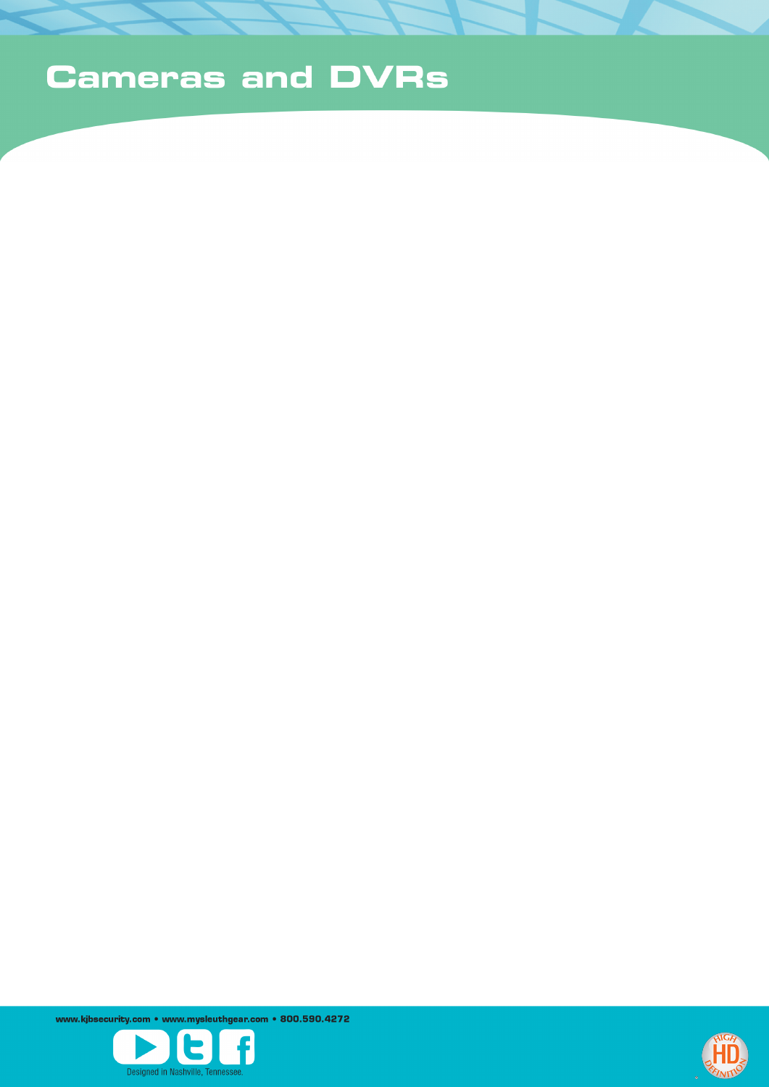www.kjbsecurity.com • www.mysleuthgear.com • 800.590.4272